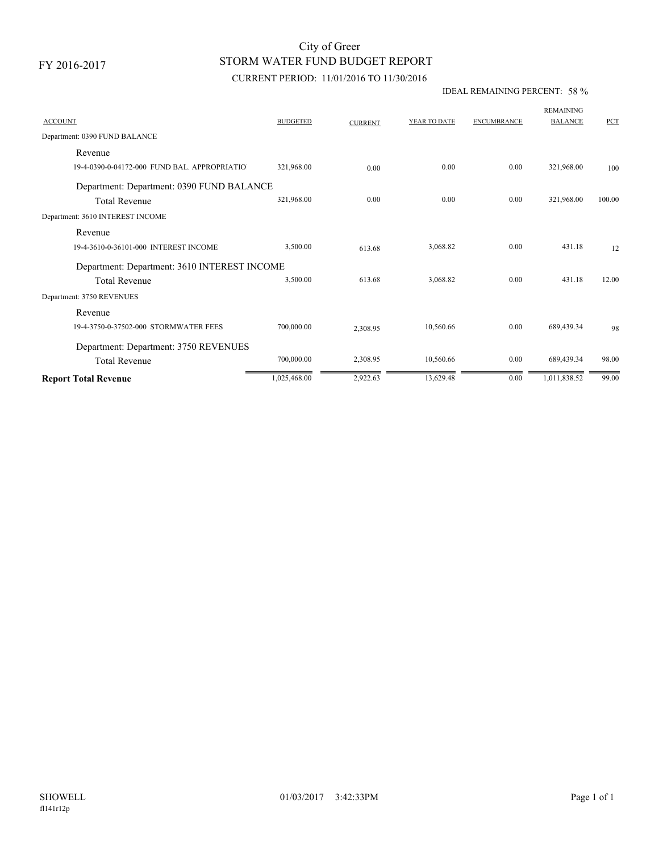# STORM WATER FUND BUDGET REPORT City of Greer

### CURRENT PERIOD: 11/01/2016 TO 11/30/2016

#### IDEAL REMAINING PERCENT: 58 %

| <b>ACCOUNT</b>                               | <b>BUDGETED</b> | <b>CURRENT</b> | YEAR TO DATE | <b>ENCUMBRANCE</b> | <b>REMAINING</b><br><b>BALANCE</b> | PCT    |
|----------------------------------------------|-----------------|----------------|--------------|--------------------|------------------------------------|--------|
| Department: 0390 FUND BALANCE                |                 |                |              |                    |                                    |        |
| Revenue                                      |                 |                |              |                    |                                    |        |
| 19-4-0390-0-04172-000 FUND BAL, APPROPRIATIO | 321,968.00      | 0.00           | 0.00         | 0.00               | 321,968.00                         | 100    |
| Department: Department: 0390 FUND BALANCE    |                 |                |              |                    |                                    |        |
| <b>Total Revenue</b>                         | 321,968.00      | 0.00           | 0.00         | 0.00               | 321,968.00                         | 100.00 |
| Department: 3610 INTEREST INCOME             |                 |                |              |                    |                                    |        |
| Revenue                                      |                 |                |              |                    |                                    |        |
| 19-4-3610-0-36101-000 INTEREST INCOME        | 3,500.00        | 613.68         | 3,068.82     | 0.00               | 431.18                             | 12     |
| Department: Department: 3610 INTEREST INCOME |                 |                |              |                    |                                    |        |
| <b>Total Revenue</b>                         | 3,500.00        | 613.68         | 3,068.82     | 0.00               | 431.18                             | 12.00  |
| Department: 3750 REVENUES                    |                 |                |              |                    |                                    |        |
| Revenue                                      |                 |                |              |                    |                                    |        |
| 19-4-3750-0-37502-000 STORMWATER FEES        | 700,000.00      | 2,308.95       | 10,560.66    | 0.00               | 689,439.34                         | 98     |
| Department: Department: 3750 REVENUES        |                 |                |              |                    |                                    |        |
| <b>Total Revenue</b>                         | 700,000.00      | 2,308.95       | 10,560.66    | 0.00               | 689,439.34                         | 98.00  |
| <b>Report Total Revenue</b>                  | 1,025,468.00    | 2,922.63       | 13,629.48    | 0.00               | 1,011,838.52                       | 99.00  |